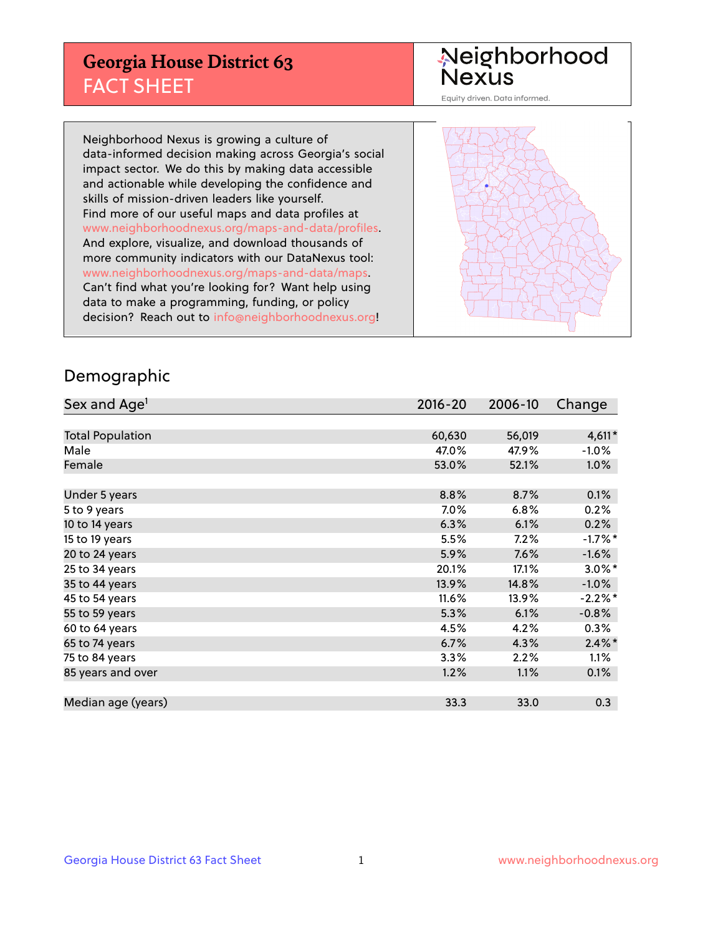## **Georgia House District 63** FACT SHEET

# Neighborhood<br>Nexus

Equity driven. Data informed.

Neighborhood Nexus is growing a culture of data-informed decision making across Georgia's social impact sector. We do this by making data accessible and actionable while developing the confidence and skills of mission-driven leaders like yourself. Find more of our useful maps and data profiles at www.neighborhoodnexus.org/maps-and-data/profiles. And explore, visualize, and download thousands of more community indicators with our DataNexus tool: www.neighborhoodnexus.org/maps-and-data/maps. Can't find what you're looking for? Want help using data to make a programming, funding, or policy decision? Reach out to [info@neighborhoodnexus.org!](mailto:info@neighborhoodnexus.org)



### Demographic

| Sex and Age <sup>1</sup> | $2016 - 20$ | 2006-10 | Change    |
|--------------------------|-------------|---------|-----------|
|                          |             |         |           |
| <b>Total Population</b>  | 60,630      | 56,019  | $4,611*$  |
| Male                     | 47.0%       | 47.9%   | $-1.0\%$  |
| Female                   | 53.0%       | 52.1%   | $1.0\%$   |
|                          |             |         |           |
| Under 5 years            | 8.8%        | 8.7%    | 0.1%      |
| 5 to 9 years             | 7.0%        | 6.8%    | 0.2%      |
| 10 to 14 years           | 6.3%        | 6.1%    | 0.2%      |
| 15 to 19 years           | 5.5%        | 7.2%    | $-1.7%$ * |
| 20 to 24 years           | 5.9%        | 7.6%    | $-1.6%$   |
| 25 to 34 years           | 20.1%       | 17.1%   | $3.0\%$ * |
| 35 to 44 years           | 13.9%       | 14.8%   | $-1.0%$   |
| 45 to 54 years           | 11.6%       | 13.9%   | $-2.2%$ * |
| 55 to 59 years           | 5.3%        | 6.1%    | $-0.8%$   |
| 60 to 64 years           | 4.5%        | 4.2%    | $0.3\%$   |
| 65 to 74 years           | 6.7%        | 4.3%    | $2.4\%$ * |
| 75 to 84 years           | 3.3%        | 2.2%    | 1.1%      |
| 85 years and over        | 1.2%        | 1.1%    | 0.1%      |
|                          |             |         |           |
| Median age (years)       | 33.3        | 33.0    | 0.3       |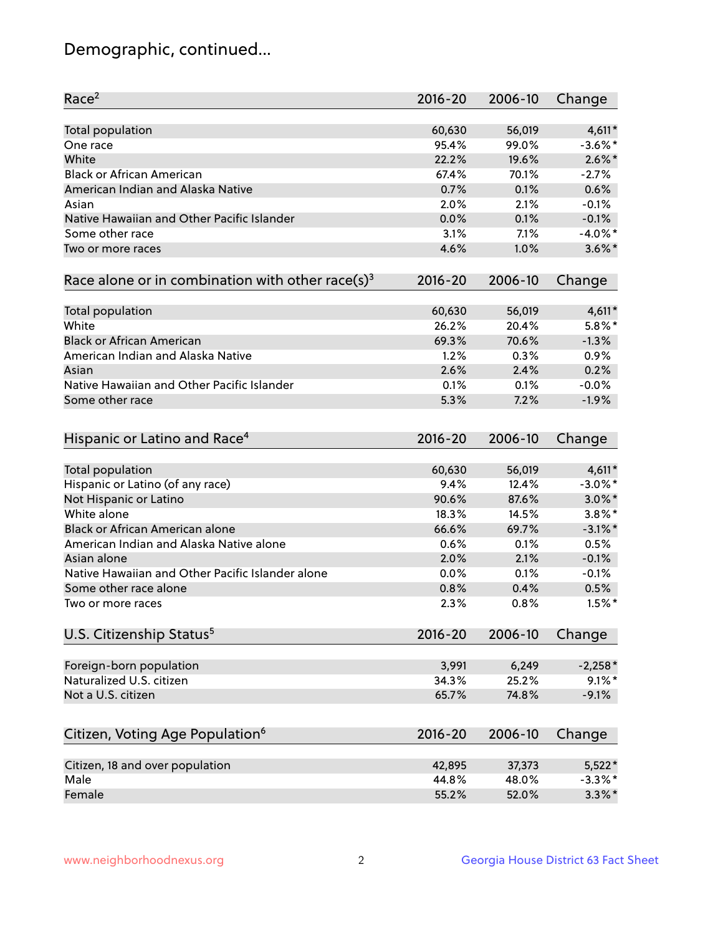## Demographic, continued...

| Race <sup>2</sup>                                            | $2016 - 20$ | 2006-10 | Change     |
|--------------------------------------------------------------|-------------|---------|------------|
| <b>Total population</b>                                      | 60,630      | 56,019  | $4,611*$   |
| One race                                                     | 95.4%       | 99.0%   | $-3.6\%$ * |
| White                                                        | 22.2%       | 19.6%   | $2.6\%$ *  |
| <b>Black or African American</b>                             | 67.4%       | 70.1%   | $-2.7%$    |
| American Indian and Alaska Native                            | 0.7%        | 0.1%    | 0.6%       |
| Asian                                                        | 2.0%        | 2.1%    | $-0.1%$    |
| Native Hawaiian and Other Pacific Islander                   | 0.0%        | 0.1%    | $-0.1%$    |
| Some other race                                              | 3.1%        | 7.1%    | $-4.0\%$ * |
| Two or more races                                            | 4.6%        | 1.0%    | $3.6\%$ *  |
| Race alone or in combination with other race(s) <sup>3</sup> | $2016 - 20$ | 2006-10 | Change     |
| Total population                                             | 60,630      | 56,019  | $4,611*$   |
| White                                                        | 26.2%       | 20.4%   | $5.8\%$ *  |
| <b>Black or African American</b>                             | 69.3%       | 70.6%   | $-1.3%$    |
| American Indian and Alaska Native                            | 1.2%        | 0.3%    | 0.9%       |
| Asian                                                        | 2.6%        | 2.4%    | 0.2%       |
| Native Hawaiian and Other Pacific Islander                   | 0.1%        | 0.1%    | $-0.0%$    |
| Some other race                                              | 5.3%        | 7.2%    | $-1.9%$    |
| Hispanic or Latino and Race <sup>4</sup>                     | $2016 - 20$ | 2006-10 | Change     |
| <b>Total population</b>                                      | 60,630      | 56,019  | $4,611*$   |
| Hispanic or Latino (of any race)                             | 9.4%        | 12.4%   | $-3.0\%$ * |
| Not Hispanic or Latino                                       | 90.6%       | 87.6%   | $3.0\%$ *  |
| White alone                                                  | 18.3%       | 14.5%   | $3.8\%$ *  |
| <b>Black or African American alone</b>                       | 66.6%       | 69.7%   | $-3.1\%$ * |
| American Indian and Alaska Native alone                      | 0.6%        | 0.1%    | 0.5%       |
| Asian alone                                                  | 2.0%        | 2.1%    | $-0.1%$    |
| Native Hawaiian and Other Pacific Islander alone             | 0.0%        | 0.1%    | $-0.1%$    |
| Some other race alone                                        | 0.8%        | 0.4%    | 0.5%       |
| Two or more races                                            | 2.3%        | 0.8%    | $1.5%$ *   |
| U.S. Citizenship Status <sup>5</sup>                         | $2016 - 20$ | 2006-10 | Change     |
| Foreign-born population                                      | 3,991       | 6,249   | $-2,258*$  |
| Naturalized U.S. citizen                                     | 34.3%       | 25.2%   | $9.1\%$ *  |
| Not a U.S. citizen                                           | 65.7%       | 74.8%   | $-9.1%$    |
|                                                              |             |         |            |
| Citizen, Voting Age Population <sup>6</sup>                  | $2016 - 20$ | 2006-10 | Change     |
| Citizen, 18 and over population                              | 42,895      | 37,373  | $5,522*$   |
| Male                                                         | 44.8%       | 48.0%   | $-3.3\%$ * |
| Female                                                       | 55.2%       | 52.0%   | $3.3\%$ *  |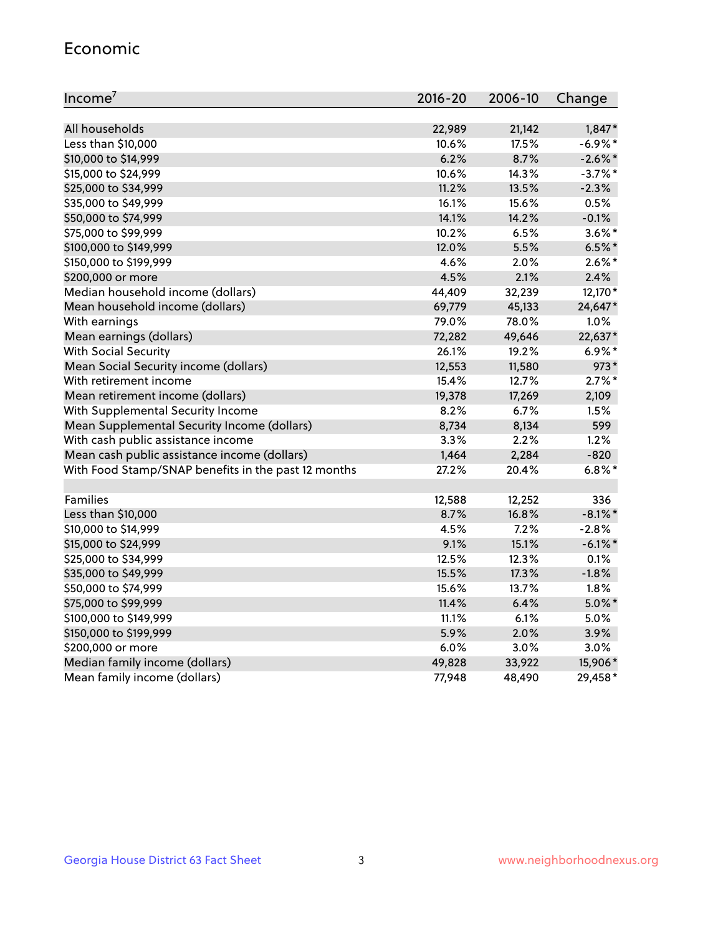#### Economic

| Income <sup>7</sup>                                 | $2016 - 20$ | 2006-10 | Change     |
|-----------------------------------------------------|-------------|---------|------------|
|                                                     |             |         |            |
| All households                                      | 22,989      | 21,142  | $1,847*$   |
| Less than \$10,000                                  | 10.6%       | 17.5%   | $-6.9\%$ * |
| \$10,000 to \$14,999                                | 6.2%        | 8.7%    | $-2.6\%$ * |
| \$15,000 to \$24,999                                | 10.6%       | 14.3%   | $-3.7%$ *  |
| \$25,000 to \$34,999                                | 11.2%       | 13.5%   | $-2.3%$    |
| \$35,000 to \$49,999                                | 16.1%       | 15.6%   | 0.5%       |
| \$50,000 to \$74,999                                | 14.1%       | 14.2%   | $-0.1%$    |
| \$75,000 to \$99,999                                | 10.2%       | 6.5%    | $3.6\%$ *  |
| \$100,000 to \$149,999                              | 12.0%       | 5.5%    | $6.5%$ *   |
| \$150,000 to \$199,999                              | 4.6%        | 2.0%    | $2.6\%$ *  |
| \$200,000 or more                                   | 4.5%        | 2.1%    | 2.4%       |
| Median household income (dollars)                   | 44,409      | 32,239  | 12,170*    |
| Mean household income (dollars)                     | 69,779      | 45,133  | 24,647*    |
| With earnings                                       | 79.0%       | 78.0%   | 1.0%       |
| Mean earnings (dollars)                             | 72,282      | 49,646  | 22,637*    |
| <b>With Social Security</b>                         | 26.1%       | 19.2%   | $6.9\%*$   |
| Mean Social Security income (dollars)               | 12,553      | 11,580  | $973*$     |
| With retirement income                              | 15.4%       | 12.7%   | $2.7\%$ *  |
| Mean retirement income (dollars)                    | 19,378      | 17,269  | 2,109      |
| With Supplemental Security Income                   | 8.2%        | 6.7%    | 1.5%       |
| Mean Supplemental Security Income (dollars)         | 8,734       | 8,134   | 599        |
| With cash public assistance income                  | 3.3%        | 2.2%    | 1.2%       |
| Mean cash public assistance income (dollars)        | 1,464       | 2,284   | $-820$     |
| With Food Stamp/SNAP benefits in the past 12 months | 27.2%       | 20.4%   | $6.8\%$ *  |
|                                                     |             |         |            |
| Families                                            | 12,588      | 12,252  | 336        |
| Less than \$10,000                                  | 8.7%        | 16.8%   | $-8.1\%$ * |
| \$10,000 to \$14,999                                | 4.5%        | 7.2%    | $-2.8%$    |
| \$15,000 to \$24,999                                | 9.1%        | 15.1%   | $-6.1\%$ * |
| \$25,000 to \$34,999                                | 12.5%       | 12.3%   | 0.1%       |
| \$35,000 to \$49,999                                | 15.5%       | 17.3%   | $-1.8%$    |
| \$50,000 to \$74,999                                | 15.6%       | 13.7%   | 1.8%       |
| \$75,000 to \$99,999                                | 11.4%       | 6.4%    | $5.0\%$ *  |
| \$100,000 to \$149,999                              | 11.1%       | $6.1\%$ | 5.0%       |
| \$150,000 to \$199,999                              | 5.9%        | 2.0%    | 3.9%       |
| \$200,000 or more                                   | 6.0%        | 3.0%    | 3.0%       |
| Median family income (dollars)                      | 49,828      | 33,922  | 15,906*    |
| Mean family income (dollars)                        | 77,948      | 48,490  | 29,458*    |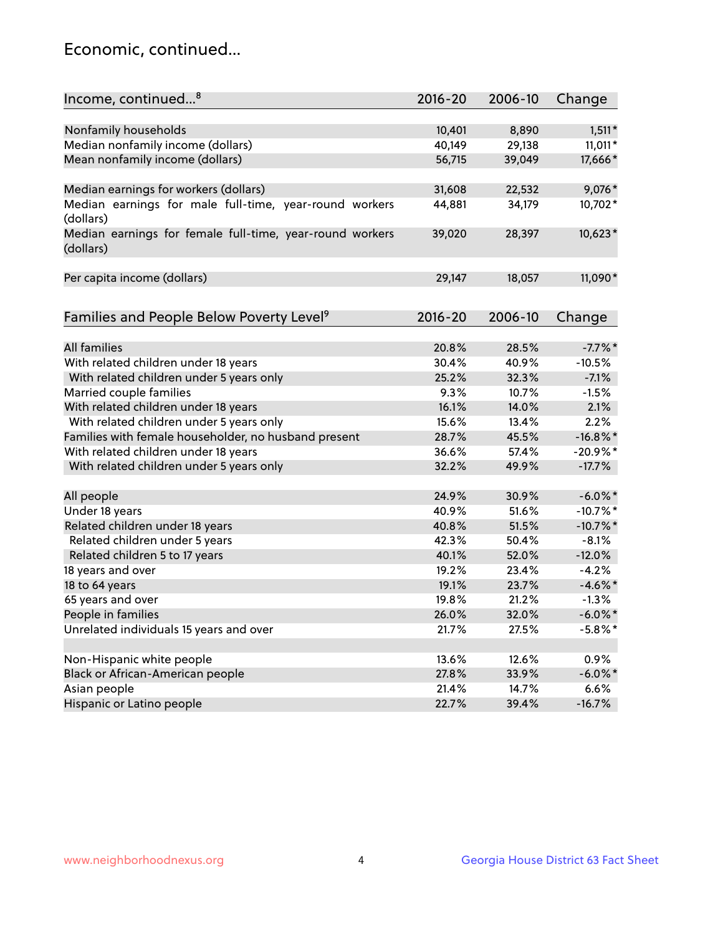## Economic, continued...

| Income, continued <sup>8</sup>                                        | $2016 - 20$ | 2006-10 | Change      |
|-----------------------------------------------------------------------|-------------|---------|-------------|
|                                                                       |             |         |             |
| Nonfamily households                                                  | 10,401      | 8,890   | $1,511*$    |
| Median nonfamily income (dollars)                                     | 40,149      | 29,138  | $11,011*$   |
| Mean nonfamily income (dollars)                                       | 56,715      | 39,049  | 17,666*     |
| Median earnings for workers (dollars)                                 | 31,608      | 22,532  | 9,076*      |
| Median earnings for male full-time, year-round workers<br>(dollars)   | 44,881      | 34,179  | 10,702*     |
| Median earnings for female full-time, year-round workers<br>(dollars) | 39,020      | 28,397  | 10,623*     |
| Per capita income (dollars)                                           | 29,147      | 18,057  | 11,090*     |
| Families and People Below Poverty Level <sup>9</sup>                  | $2016 - 20$ | 2006-10 | Change      |
|                                                                       |             |         |             |
| <b>All families</b>                                                   | 20.8%       | 28.5%   | $-7.7%$ *   |
| With related children under 18 years                                  | 30.4%       | 40.9%   | $-10.5%$    |
| With related children under 5 years only                              | 25.2%       | 32.3%   | $-7.1%$     |
| Married couple families                                               | 9.3%        | 10.7%   | $-1.5%$     |
| With related children under 18 years                                  | 16.1%       | 14.0%   | 2.1%        |
| With related children under 5 years only                              | 15.6%       | 13.4%   | 2.2%        |
| Families with female householder, no husband present                  | 28.7%       | 45.5%   | $-16.8\%$ * |
| With related children under 18 years                                  | 36.6%       | 57.4%   | $-20.9%$ *  |
| With related children under 5 years only                              | 32.2%       | 49.9%   | $-17.7%$    |
|                                                                       |             |         |             |
| All people                                                            | 24.9%       | 30.9%   | $-6.0\%$ *  |
| Under 18 years                                                        | 40.9%       | 51.6%   | $-10.7%$ *  |
| Related children under 18 years                                       | 40.8%       | 51.5%   | $-10.7\%$ * |
| Related children under 5 years                                        | 42.3%       | 50.4%   | $-8.1%$     |
| Related children 5 to 17 years                                        | 40.1%       | 52.0%   | $-12.0%$    |
| 18 years and over                                                     | 19.2%       | 23.4%   | $-4.2%$     |
| 18 to 64 years                                                        | 19.1%       | 23.7%   | $-4.6\%$ *  |
| 65 years and over                                                     | 19.8%       | 21.2%   | $-1.3%$     |
| People in families                                                    | 26.0%       | 32.0%   | $-6.0\%$ *  |
| Unrelated individuals 15 years and over                               | 21.7%       | 27.5%   | $-5.8\%$ *  |
|                                                                       |             |         |             |
| Non-Hispanic white people                                             | 13.6%       | 12.6%   | 0.9%        |
| Black or African-American people                                      | 27.8%       | 33.9%   | $-6.0\%$ *  |
| Asian people                                                          | 21.4%       | 14.7%   | 6.6%        |
| Hispanic or Latino people                                             | 22.7%       | 39.4%   | $-16.7%$    |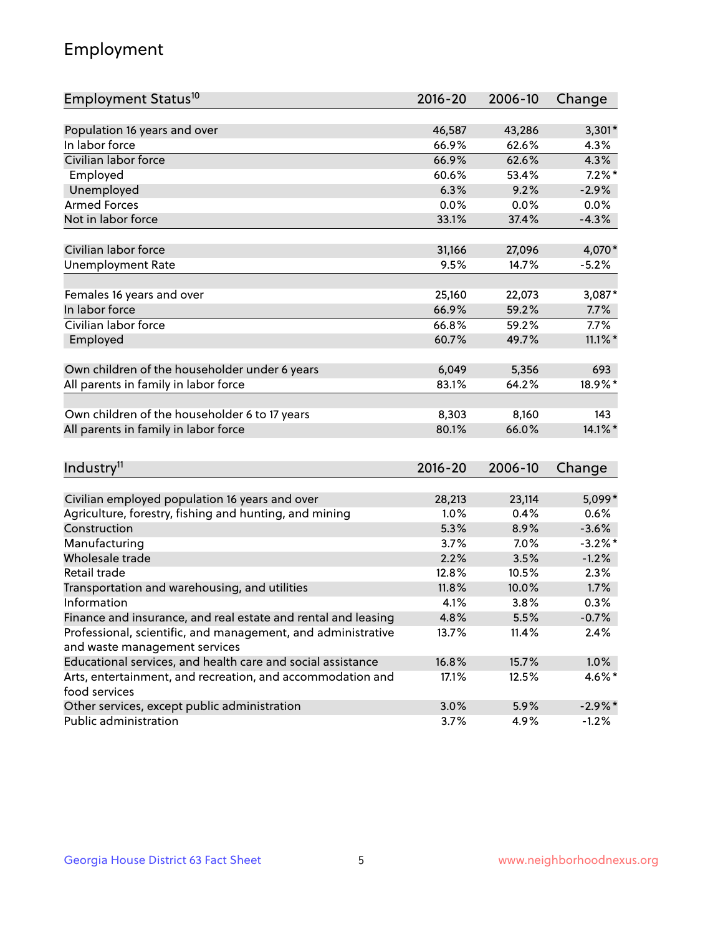## Employment

| Employment Status <sup>10</sup>                                             | $2016 - 20$ | 2006-10 | Change     |
|-----------------------------------------------------------------------------|-------------|---------|------------|
|                                                                             |             |         |            |
| Population 16 years and over                                                | 46,587      | 43,286  | $3,301*$   |
| In labor force                                                              | 66.9%       | 62.6%   | 4.3%       |
| Civilian labor force                                                        | 66.9%       | 62.6%   | 4.3%       |
| Employed                                                                    | 60.6%       | 53.4%   | $7.2\%$ *  |
| Unemployed                                                                  | 6.3%        | 9.2%    | $-2.9%$    |
| <b>Armed Forces</b>                                                         | 0.0%        | 0.0%    | 0.0%       |
| Not in labor force                                                          | 33.1%       | 37.4%   | $-4.3%$    |
|                                                                             |             |         |            |
| Civilian labor force                                                        | 31,166      | 27,096  | 4,070*     |
| <b>Unemployment Rate</b>                                                    | 9.5%        | 14.7%   | $-5.2%$    |
| Females 16 years and over                                                   | 25,160      | 22,073  | $3,087*$   |
| In labor force                                                              | 66.9%       | 59.2%   | 7.7%       |
| Civilian labor force                                                        | 66.8%       | 59.2%   | 7.7%       |
| Employed                                                                    | 60.7%       | 49.7%   | $11.1\%$ * |
|                                                                             |             |         |            |
| Own children of the householder under 6 years                               | 6,049       | 5,356   | 693        |
| All parents in family in labor force                                        | 83.1%       | 64.2%   | 18.9%*     |
|                                                                             |             |         |            |
| Own children of the householder 6 to 17 years                               | 8,303       | 8,160   | 143        |
| All parents in family in labor force                                        | 80.1%       | 66.0%   | 14.1%*     |
|                                                                             |             |         |            |
| Industry <sup>11</sup>                                                      | $2016 - 20$ | 2006-10 | Change     |
|                                                                             |             |         |            |
| Civilian employed population 16 years and over                              | 28,213      | 23,114  | 5,099*     |
| Agriculture, forestry, fishing and hunting, and mining                      | 1.0%        | 0.4%    | 0.6%       |
| Construction                                                                | 5.3%        | 8.9%    | $-3.6%$    |
| Manufacturing                                                               | 3.7%        | 7.0%    | $-3.2\%$ * |
| Wholesale trade                                                             | 2.2%        | 3.5%    | $-1.2%$    |
| Retail trade                                                                | 12.8%       | 10.5%   | 2.3%       |
| Transportation and warehousing, and utilities                               | 11.8%       | 10.0%   | 1.7%       |
| Information                                                                 | 4.1%        | 3.8%    | 0.3%       |
| Finance and insurance, and real estate and rental and leasing               | 4.8%        | 5.5%    | $-0.7%$    |
| Professional, scientific, and management, and administrative                | 13.7%       | 11.4%   | 2.4%       |
| and waste management services                                               |             |         |            |
| Educational services, and health care and social assistance                 | 16.8%       | 15.7%   | 1.0%       |
| Arts, entertainment, and recreation, and accommodation and<br>food services | 17.1%       | 12.5%   | 4.6%*      |
| Other services, except public administration                                | 3.0%        | 5.9%    | $-2.9\%$ * |
| Public administration                                                       | 3.7%        | 4.9%    | $-1.2\%$   |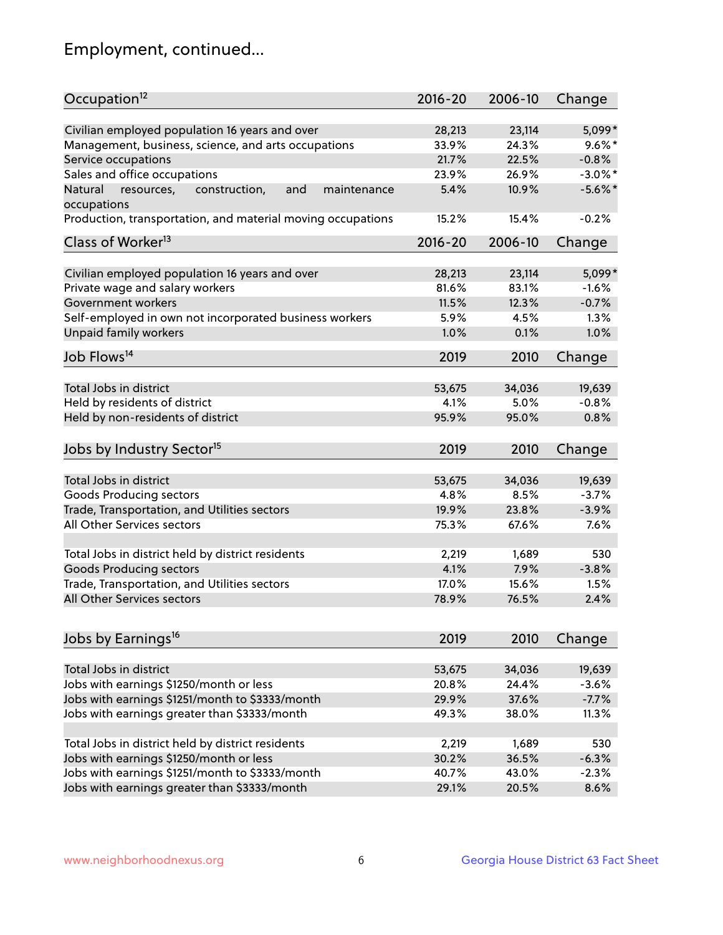## Employment, continued...

| Occupation <sup>12</sup>                                    | $2016 - 20$ | 2006-10 | Change     |
|-------------------------------------------------------------|-------------|---------|------------|
| Civilian employed population 16 years and over              | 28,213      | 23,114  | 5,099*     |
| Management, business, science, and arts occupations         | 33.9%       | 24.3%   | $9.6\%$ *  |
| Service occupations                                         | 21.7%       | 22.5%   | $-0.8%$    |
| Sales and office occupations                                | 23.9%       | 26.9%   | $-3.0\%$ * |
| and<br>Natural<br>maintenance                               | 5.4%        | 10.9%   | $-5.6\%$ * |
| resources,<br>construction,<br>occupations                  |             |         |            |
| Production, transportation, and material moving occupations | 15.2%       | 15.4%   | $-0.2%$    |
| Class of Worker <sup>13</sup>                               | $2016 - 20$ | 2006-10 | Change     |
| Civilian employed population 16 years and over              | 28,213      | 23,114  | 5,099*     |
| Private wage and salary workers                             | 81.6%       | 83.1%   | $-1.6%$    |
| Government workers                                          | 11.5%       | 12.3%   | $-0.7%$    |
|                                                             | 5.9%        | 4.5%    | 1.3%       |
| Self-employed in own not incorporated business workers      |             |         | 1.0%       |
| Unpaid family workers                                       | 1.0%        | 0.1%    |            |
| Job Flows <sup>14</sup>                                     | 2019        | 2010    | Change     |
| Total Jobs in district                                      | 53,675      | 34,036  | 19,639     |
| Held by residents of district                               | 4.1%        | 5.0%    | $-0.8%$    |
|                                                             |             |         |            |
| Held by non-residents of district                           | 95.9%       | 95.0%   | 0.8%       |
| Jobs by Industry Sector <sup>15</sup>                       | 2019        | 2010    | Change     |
| Total Jobs in district                                      |             |         |            |
|                                                             | 53,675      | 34,036  | 19,639     |
| Goods Producing sectors                                     | 4.8%        | 8.5%    | $-3.7%$    |
| Trade, Transportation, and Utilities sectors                | 19.9%       | 23.8%   | $-3.9%$    |
| All Other Services sectors                                  | 75.3%       | 67.6%   | 7.6%       |
| Total Jobs in district held by district residents           | 2,219       | 1,689   | 530        |
| <b>Goods Producing sectors</b>                              | 4.1%        | 7.9%    | $-3.8%$    |
| Trade, Transportation, and Utilities sectors                | 17.0%       | 15.6%   | 1.5%       |
| All Other Services sectors                                  | 78.9%       | 76.5%   | 2.4%       |
|                                                             |             |         |            |
| Jobs by Earnings <sup>16</sup>                              | 2019        | 2010    | Change     |
|                                                             |             |         |            |
| Total Jobs in district                                      | 53,675      | 34,036  | 19,639     |
| Jobs with earnings \$1250/month or less                     | 20.8%       | 24.4%   | $-3.6%$    |
| Jobs with earnings \$1251/month to \$3333/month             | 29.9%       | 37.6%   | $-7.7%$    |
| Jobs with earnings greater than \$3333/month                | 49.3%       | 38.0%   | 11.3%      |
| Total Jobs in district held by district residents           | 2,219       | 1,689   | 530        |
| Jobs with earnings \$1250/month or less                     | 30.2%       | 36.5%   | $-6.3%$    |
| Jobs with earnings \$1251/month to \$3333/month             | 40.7%       | 43.0%   | $-2.3%$    |
| Jobs with earnings greater than \$3333/month                | 29.1%       | 20.5%   | 8.6%       |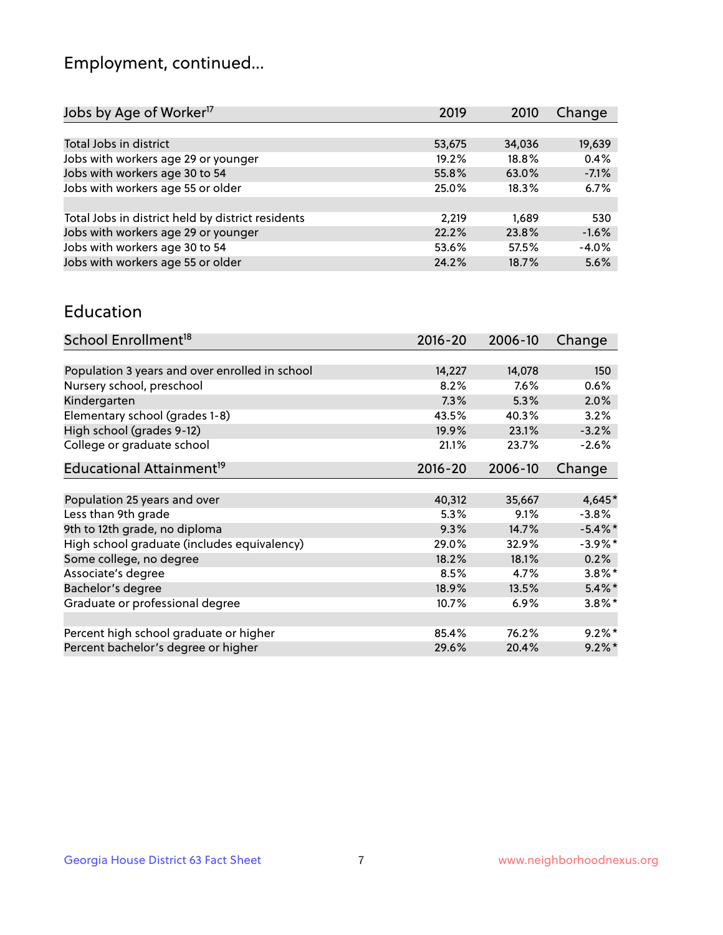## Employment, continued...

| 2019   | 2010   | Change  |
|--------|--------|---------|
|        |        |         |
| 53,675 | 34,036 | 19,639  |
| 19.2%  | 18.8%  | 0.4%    |
| 55.8%  | 63.0%  | $-7.1%$ |
| 25.0%  | 18.3%  | 6.7%    |
|        |        |         |
| 2.219  | 1,689  | 530     |
| 22.2%  | 23.8%  | $-1.6%$ |
| 53.6%  | 57.5%  | $-4.0%$ |
| 24.2%  | 18.7%  | 5.6%    |
|        |        |         |

#### Education

| School Enrollment <sup>18</sup>                | $2016 - 20$ | 2006-10 | Change     |
|------------------------------------------------|-------------|---------|------------|
|                                                |             |         |            |
| Population 3 years and over enrolled in school | 14,227      | 14,078  | 150        |
| Nursery school, preschool                      | 8.2%        | 7.6%    | 0.6%       |
| Kindergarten                                   | 7.3%        | 5.3%    | 2.0%       |
| Elementary school (grades 1-8)                 | 43.5%       | 40.3%   | 3.2%       |
| High school (grades 9-12)                      | 19.9%       | 23.1%   | $-3.2%$    |
| College or graduate school                     | 21.1%       | 23.7%   | $-2.6%$    |
| Educational Attainment <sup>19</sup>           | $2016 - 20$ | 2006-10 | Change     |
|                                                |             |         |            |
| Population 25 years and over                   | 40,312      | 35,667  | 4,645*     |
| Less than 9th grade                            | 5.3%        | 9.1%    | $-3.8%$    |
| 9th to 12th grade, no diploma                  | 9.3%        | 14.7%   | $-5.4\%$ * |
| High school graduate (includes equivalency)    | 29.0%       | 32.9%   | $-3.9\%$ * |
| Some college, no degree                        | 18.2%       | 18.1%   | 0.2%       |
| Associate's degree                             | 8.5%        | 4.7%    | $3.8\%$ *  |
| Bachelor's degree                              | 18.9%       | 13.5%   | $5.4\%$ *  |
| Graduate or professional degree                | 10.7%       | $6.9\%$ | $3.8\%$ *  |
|                                                |             |         |            |
| Percent high school graduate or higher         | 85.4%       | 76.2%   | $9.2\%$ *  |
| Percent bachelor's degree or higher            | 29.6%       | 20.4%   | $9.2\%$ *  |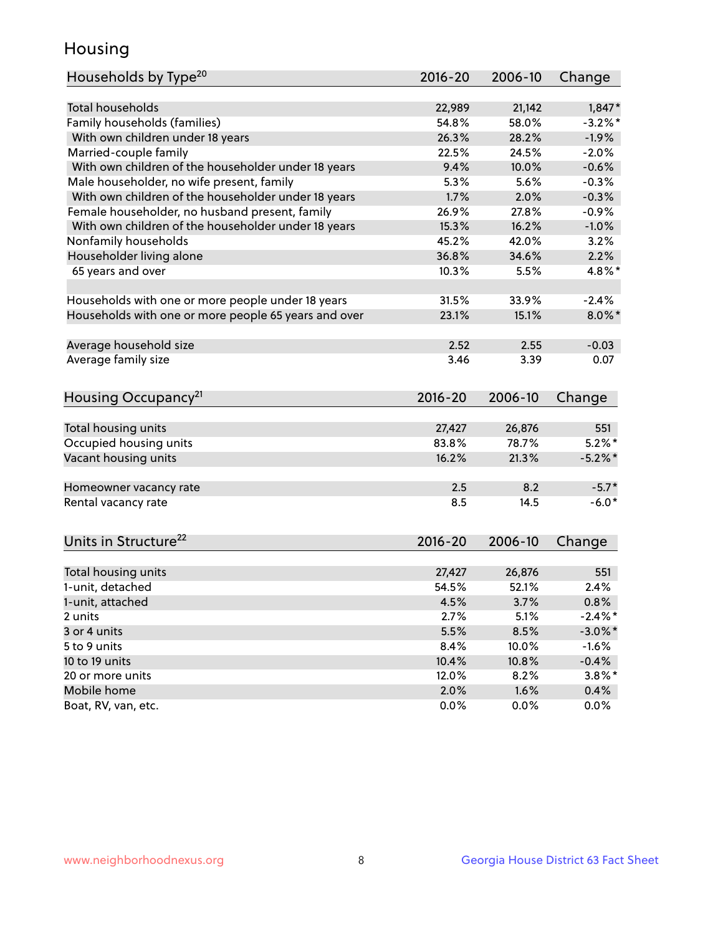## Housing

| Households by Type <sup>20</sup>                     | 2016-20         | 2006-10 | Change     |
|------------------------------------------------------|-----------------|---------|------------|
| <b>Total households</b>                              |                 | 21,142  | $1,847*$   |
| Family households (families)                         | 22,989<br>54.8% | 58.0%   | $-3.2%$ *  |
| With own children under 18 years                     | 26.3%           | 28.2%   | $-1.9%$    |
|                                                      |                 |         | $-2.0%$    |
| Married-couple family                                | 22.5%<br>9.4%   | 24.5%   |            |
| With own children of the householder under 18 years  |                 | 10.0%   | $-0.6%$    |
| Male householder, no wife present, family            | 5.3%            | 5.6%    | $-0.3%$    |
| With own children of the householder under 18 years  | 1.7%            | 2.0%    | $-0.3%$    |
| Female householder, no husband present, family       | 26.9%           | 27.8%   | $-0.9%$    |
| With own children of the householder under 18 years  | 15.3%           | 16.2%   | $-1.0%$    |
| Nonfamily households                                 | 45.2%           | 42.0%   | 3.2%       |
| Householder living alone                             | 36.8%           | 34.6%   | 2.2%       |
| 65 years and over                                    | 10.3%           | 5.5%    | 4.8%*      |
| Households with one or more people under 18 years    | 31.5%           | 33.9%   | $-2.4%$    |
| Households with one or more people 65 years and over | 23.1%           | 15.1%   | $8.0\%$ *  |
|                                                      |                 |         |            |
| Average household size                               | 2.52            | 2.55    | $-0.03$    |
| Average family size                                  | 3.46            | 3.39    | 0.07       |
| Housing Occupancy <sup>21</sup>                      | $2016 - 20$     | 2006-10 | Change     |
|                                                      |                 |         |            |
| Total housing units                                  | 27,427          | 26,876  | 551        |
| Occupied housing units                               | 83.8%           | 78.7%   | $5.2\%$ *  |
| Vacant housing units                                 | 16.2%           | 21.3%   | $-5.2\%$ * |
|                                                      |                 |         |            |
| Homeowner vacancy rate                               | 2.5             | 8.2     | $-5.7*$    |
| Rental vacancy rate                                  | 8.5             | 14.5    | $-6.0*$    |
| Units in Structure <sup>22</sup>                     | $2016 - 20$     | 2006-10 | Change     |
|                                                      |                 |         |            |
| Total housing units                                  | 27,427          | 26,876  | 551        |
| 1-unit, detached                                     | 54.5%           | 52.1%   | 2.4%       |
| 1-unit, attached                                     | 4.5%            | 3.7%    | 0.8%       |
| 2 units                                              | 2.7%            | 5.1%    | $-2.4\%$ * |
| 3 or 4 units                                         | 5.5%            | 8.5%    | $-3.0\%$ * |
| 5 to 9 units                                         | 8.4%            | 10.0%   | $-1.6%$    |
| 10 to 19 units                                       | 10.4%           | 10.8%   | $-0.4%$    |
| 20 or more units                                     | 12.0%           | 8.2%    | $3.8\%$ *  |
| Mobile home                                          | 2.0%            | 1.6%    | 0.4%       |
| Boat, RV, van, etc.                                  | 0.0%            | 0.0%    | 0.0%       |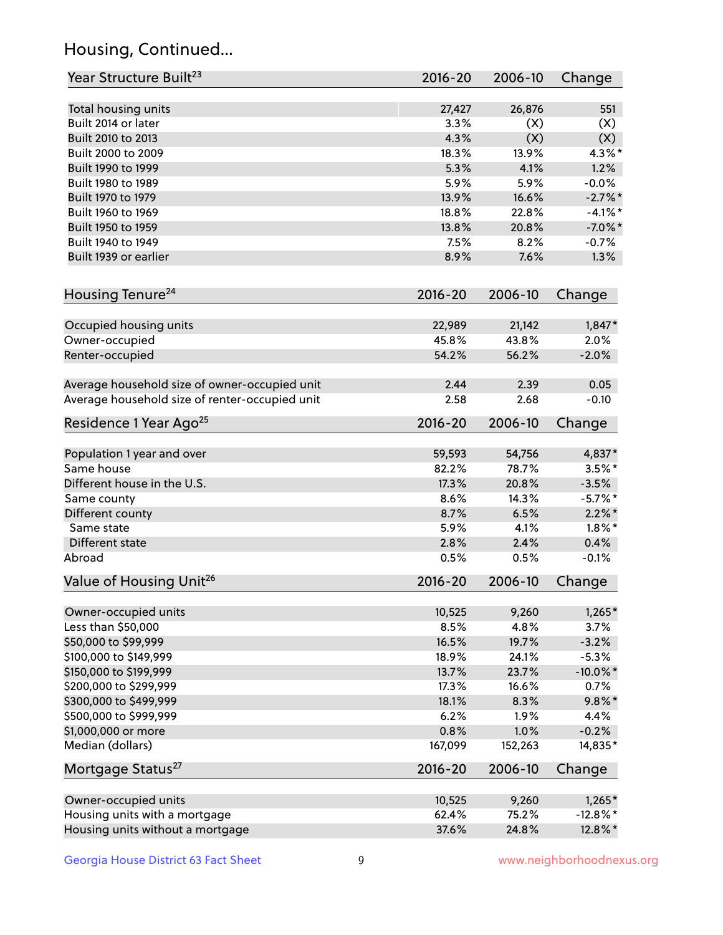## Housing, Continued...

| Year Structure Built <sup>23</sup>             | 2016-20     | 2006-10 | Change      |
|------------------------------------------------|-------------|---------|-------------|
| Total housing units                            | 27,427      | 26,876  | 551         |
| Built 2014 or later                            | 3.3%        | (X)     | (X)         |
| Built 2010 to 2013                             | 4.3%        | (X)     | (X)         |
| Built 2000 to 2009                             | 18.3%       | 13.9%   | $4.3\%$ *   |
| Built 1990 to 1999                             | 5.3%        | 4.1%    | 1.2%        |
| Built 1980 to 1989                             | 5.9%        | 5.9%    | $-0.0%$     |
| Built 1970 to 1979                             | 13.9%       | 16.6%   | $-2.7%$     |
| Built 1960 to 1969                             | 18.8%       | 22.8%   | $-4.1%$ *   |
| Built 1950 to 1959                             | 13.8%       | 20.8%   | $-7.0\%$ *  |
| Built 1940 to 1949                             | 7.5%        | 8.2%    | $-0.7%$     |
| Built 1939 or earlier                          | 8.9%        | 7.6%    | 1.3%        |
| Housing Tenure <sup>24</sup>                   | $2016 - 20$ | 2006-10 | Change      |
| Occupied housing units                         | 22,989      | 21,142  | $1,847*$    |
| Owner-occupied                                 | 45.8%       | 43.8%   | 2.0%        |
| Renter-occupied                                | 54.2%       | 56.2%   | $-2.0%$     |
| Average household size of owner-occupied unit  | 2.44        | 2.39    | 0.05        |
| Average household size of renter-occupied unit | 2.58        | 2.68    | $-0.10$     |
| Residence 1 Year Ago <sup>25</sup>             | $2016 - 20$ | 2006-10 | Change      |
| Population 1 year and over                     | 59,593      | 54,756  | 4,837*      |
| Same house                                     | 82.2%       | 78.7%   | $3.5\%$ *   |
| Different house in the U.S.                    | 17.3%       | 20.8%   | $-3.5%$     |
| Same county                                    | 8.6%        | 14.3%   | $-5.7%$ *   |
| Different county                               | 8.7%        | 6.5%    | $2.2\%$ *   |
| Same state                                     | 5.9%        | 4.1%    | $1.8\%$ *   |
| Different state                                | 2.8%        | 2.4%    | 0.4%        |
| Abroad                                         | 0.5%        | 0.5%    | $-0.1%$     |
| Value of Housing Unit <sup>26</sup>            | $2016 - 20$ | 2006-10 | Change      |
| Owner-occupied units                           | 10,525      | 9,260   | $1,265*$    |
| Less than \$50,000                             | 8.5%        | 4.8%    | 3.7%        |
| \$50,000 to \$99,999                           | 16.5%       | 19.7%   | $-3.2%$     |
| \$100,000 to \$149,999                         | 18.9%       | 24.1%   | $-5.3%$     |
| \$150,000 to \$199,999                         | 13.7%       | 23.7%   | $-10.0\%$ * |
| \$200,000 to \$299,999                         | 17.3%       | 16.6%   | 0.7%        |
| \$300,000 to \$499,999                         | 18.1%       | 8.3%    | $9.8\%$ *   |
| \$500,000 to \$999,999                         | 6.2%        | 1.9%    | 4.4%        |
| \$1,000,000 or more                            | 0.8%        | 1.0%    | $-0.2%$     |
| Median (dollars)                               | 167,099     | 152,263 | $14,835*$   |
| Mortgage Status <sup>27</sup>                  | $2016 - 20$ | 2006-10 | Change      |
| Owner-occupied units                           | 10,525      | 9,260   | $1,265*$    |
| Housing units with a mortgage                  | 62.4%       | 75.2%   | $-12.8\%$ * |
| Housing units without a mortgage               | 37.6%       | 24.8%   | 12.8%*      |
|                                                |             |         |             |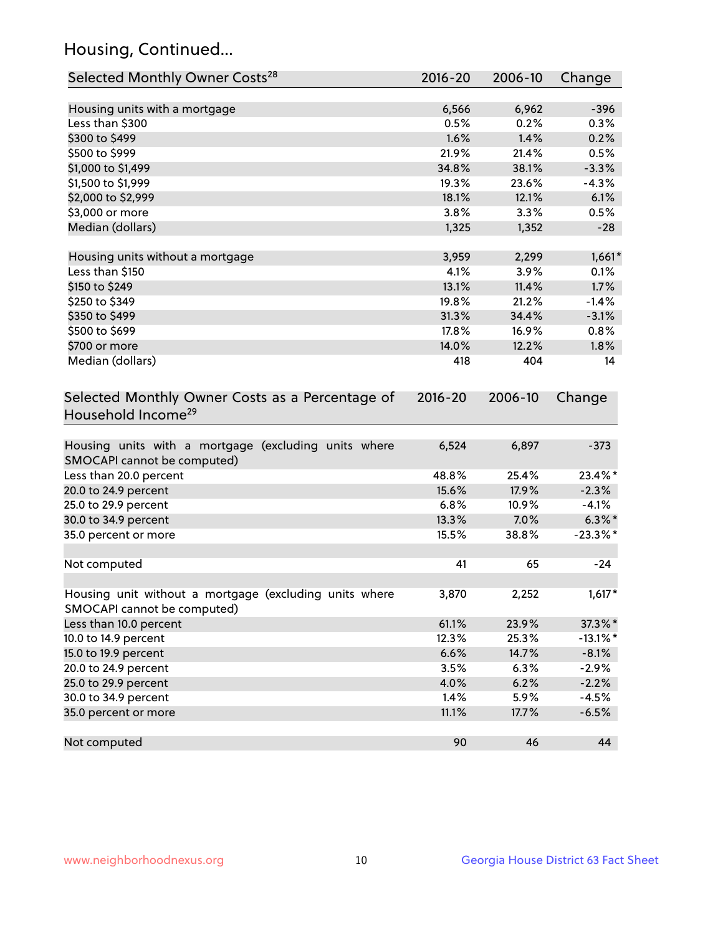## Housing, Continued...

| Selected Monthly Owner Costs <sup>28</sup>                                            | 2016-20     | 2006-10 | Change      |
|---------------------------------------------------------------------------------------|-------------|---------|-------------|
| Housing units with a mortgage                                                         | 6,566       | 6,962   | $-396$      |
| Less than \$300                                                                       | 0.5%        | 0.2%    | 0.3%        |
| \$300 to \$499                                                                        | 1.6%        | 1.4%    | 0.2%        |
| \$500 to \$999                                                                        | 21.9%       | 21.4%   | 0.5%        |
| \$1,000 to \$1,499                                                                    | 34.8%       | 38.1%   | $-3.3%$     |
| \$1,500 to \$1,999                                                                    | 19.3%       | 23.6%   | $-4.3%$     |
| \$2,000 to \$2,999                                                                    | 18.1%       | 12.1%   | 6.1%        |
| \$3,000 or more                                                                       | 3.8%        | 3.3%    | 0.5%        |
| Median (dollars)                                                                      | 1,325       | 1,352   | $-28$       |
|                                                                                       |             |         |             |
| Housing units without a mortgage                                                      | 3,959       | 2,299   | $1,661*$    |
| Less than \$150                                                                       | 4.1%        | 3.9%    | 0.1%        |
| \$150 to \$249                                                                        | 13.1%       | 11.4%   | 1.7%        |
| \$250 to \$349                                                                        | 19.8%       | 21.2%   | $-1.4%$     |
| \$350 to \$499                                                                        | 31.3%       | 34.4%   | $-3.1%$     |
| \$500 to \$699                                                                        | 17.8%       | 16.9%   | 0.8%        |
| \$700 or more                                                                         | 14.0%       | 12.2%   | 1.8%        |
| Median (dollars)                                                                      | 418         | 404     | 14          |
| Selected Monthly Owner Costs as a Percentage of<br>Household Income <sup>29</sup>     | $2016 - 20$ | 2006-10 | Change      |
| Housing units with a mortgage (excluding units where<br>SMOCAPI cannot be computed)   | 6,524       | 6,897   | $-373$      |
| Less than 20.0 percent                                                                | 48.8%       | 25.4%   | 23.4%*      |
| 20.0 to 24.9 percent                                                                  | 15.6%       | 17.9%   | $-2.3%$     |
| 25.0 to 29.9 percent                                                                  | 6.8%        | 10.9%   | $-4.1%$     |
| 30.0 to 34.9 percent                                                                  | 13.3%       | 7.0%    | $6.3\%$ *   |
| 35.0 percent or more                                                                  | 15.5%       | 38.8%   | $-23.3%$ *  |
| Not computed                                                                          | 41          | 65      | $-24$       |
|                                                                                       |             |         |             |
| Housing unit without a mortgage (excluding units where<br>SMOCAPI cannot be computed) | 3,870       | 2,252   | $1,617*$    |
| Less than 10.0 percent                                                                | 61.1%       | 23.9%   | 37.3%*      |
| 10.0 to 14.9 percent                                                                  | 12.3%       | 25.3%   | $-13.1\%$ * |
| 15.0 to 19.9 percent                                                                  | 6.6%        | 14.7%   | $-8.1%$     |
| 20.0 to 24.9 percent                                                                  | 3.5%        | 6.3%    | $-2.9%$     |
| 25.0 to 29.9 percent                                                                  | 4.0%        | 6.2%    | $-2.2%$     |
| 30.0 to 34.9 percent                                                                  | 1.4%        | 5.9%    | $-4.5%$     |
| 35.0 percent or more                                                                  | 11.1%       | 17.7%   | $-6.5%$     |
| Not computed                                                                          | 90          | 46      | 44          |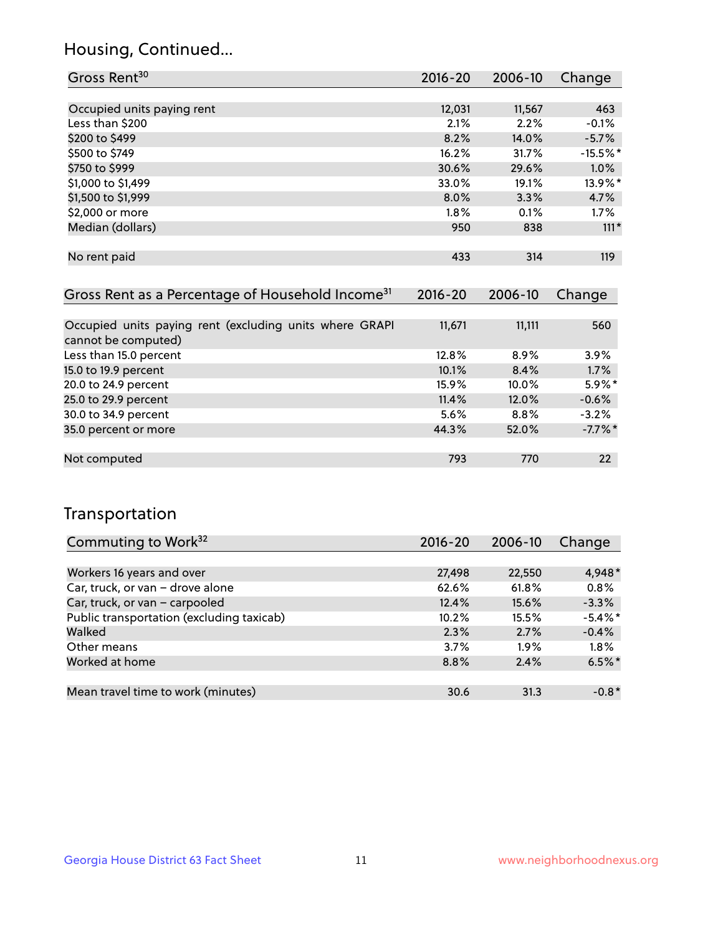## Housing, Continued...

| Gross Rent <sup>30</sup>   | 2016-20 | 2006-10 | Change     |
|----------------------------|---------|---------|------------|
|                            |         |         |            |
| Occupied units paying rent | 12,031  | 11,567  | 463        |
| Less than \$200            | 2.1%    | 2.2%    | $-0.1%$    |
| \$200 to \$499             | 8.2%    | 14.0%   | $-5.7%$    |
| \$500 to \$749             | 16.2%   | 31.7%   | $-15.5%$ * |
| \$750 to \$999             | 30.6%   | 29.6%   | $1.0\%$    |
| \$1,000 to \$1,499         | 33.0%   | 19.1%   | 13.9%*     |
| \$1,500 to \$1,999         | 8.0%    | 3.3%    | 4.7%       |
| \$2,000 or more            | 1.8%    | 0.1%    | $1.7\%$    |
| Median (dollars)           | 950     | 838     | $111*$     |
|                            |         |         |            |
| No rent paid               | 433     | 314     | 119        |

| Gross Rent as a Percentage of Household Income <sup>31</sup>                   | $2016 - 20$ | 2006-10 | Change    |
|--------------------------------------------------------------------------------|-------------|---------|-----------|
|                                                                                |             |         |           |
| Occupied units paying rent (excluding units where GRAPI<br>cannot be computed) | 11,671      | 11,111  | 560       |
| Less than 15.0 percent                                                         | 12.8%       | 8.9%    | $3.9\%$   |
| 15.0 to 19.9 percent                                                           | 10.1%       | 8.4%    | 1.7%      |
| 20.0 to 24.9 percent                                                           | 15.9%       | 10.0%   | $5.9\%$ * |
| 25.0 to 29.9 percent                                                           | 11.4%       | 12.0%   | $-0.6%$   |
| 30.0 to 34.9 percent                                                           | 5.6%        | $8.8\%$ | $-3.2%$   |
| 35.0 percent or more                                                           | 44.3%       | 52.0%   | $-7.7%$ * |
|                                                                                |             |         |           |
| Not computed                                                                   | 793         | 770     | 22        |

## Transportation

| Commuting to Work <sup>32</sup>           | 2016-20 | 2006-10 | Change     |
|-------------------------------------------|---------|---------|------------|
|                                           |         |         |            |
| Workers 16 years and over                 | 27,498  | 22,550  | 4,948*     |
| Car, truck, or van - drove alone          | 62.6%   | 61.8%   | 0.8%       |
| Car, truck, or van - carpooled            | 12.4%   | 15.6%   | $-3.3%$    |
| Public transportation (excluding taxicab) | 10.2%   | 15.5%   | $-5.4\%$ * |
| Walked                                    | 2.3%    | 2.7%    | $-0.4%$    |
| Other means                               | 3.7%    | $1.9\%$ | $1.8\%$    |
| Worked at home                            | 8.8%    | 2.4%    | $6.5%$ *   |
|                                           |         |         |            |
| Mean travel time to work (minutes)        | 30.6    | 31.3    | $-0.8*$    |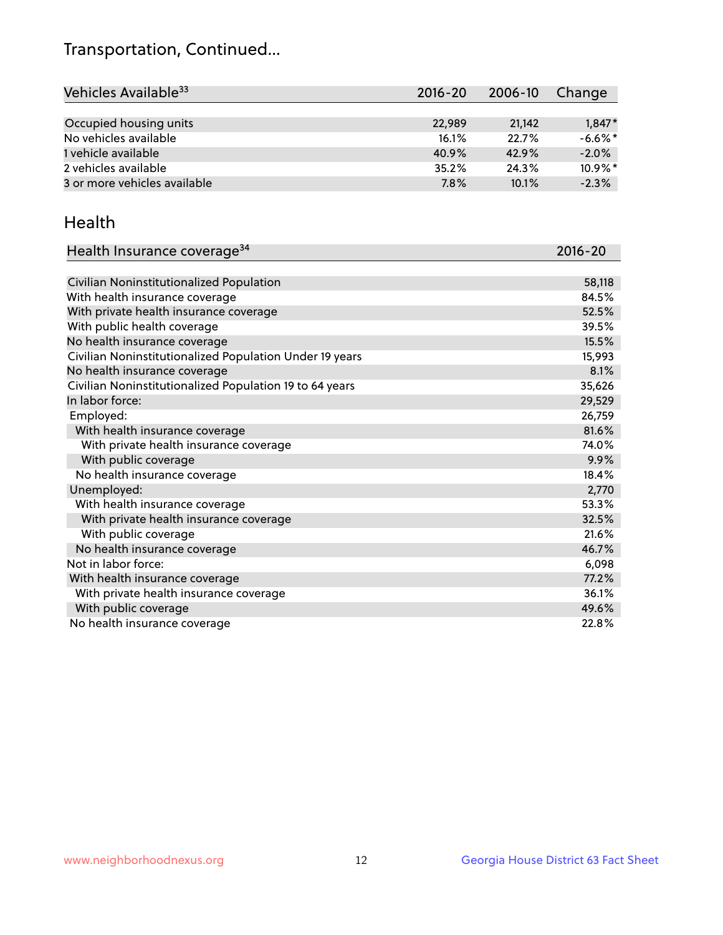## Transportation, Continued...

| Vehicles Available <sup>33</sup> | $2016 - 20$ | 2006-10 | Change     |
|----------------------------------|-------------|---------|------------|
|                                  |             |         |            |
| Occupied housing units           | 22,989      | 21.142  | $1,847*$   |
| No vehicles available            | 16.1%       | 22.7%   | $-6.6\%$ * |
| 1 vehicle available              | 40.9%       | 42.9%   | $-2.0%$    |
| 2 vehicles available             | 35.2%       | 24.3%   | $10.9\%$ * |
| 3 or more vehicles available     | 7.8%        | 10.1%   | $-2.3%$    |

#### Health

| Health Insurance coverage <sup>34</sup>                 | 2016-20 |
|---------------------------------------------------------|---------|
|                                                         |         |
| Civilian Noninstitutionalized Population                | 58,118  |
| With health insurance coverage                          | 84.5%   |
| With private health insurance coverage                  | 52.5%   |
| With public health coverage                             | 39.5%   |
| No health insurance coverage                            | 15.5%   |
| Civilian Noninstitutionalized Population Under 19 years | 15,993  |
| No health insurance coverage                            | 8.1%    |
| Civilian Noninstitutionalized Population 19 to 64 years | 35,626  |
| In labor force:                                         | 29,529  |
| Employed:                                               | 26,759  |
| With health insurance coverage                          | 81.6%   |
| With private health insurance coverage                  | 74.0%   |
| With public coverage                                    | 9.9%    |
| No health insurance coverage                            | 18.4%   |
| Unemployed:                                             | 2,770   |
| With health insurance coverage                          | 53.3%   |
| With private health insurance coverage                  | 32.5%   |
| With public coverage                                    | 21.6%   |
| No health insurance coverage                            | 46.7%   |
| Not in labor force:                                     | 6,098   |
| With health insurance coverage                          | 77.2%   |
| With private health insurance coverage                  | 36.1%   |
| With public coverage                                    | 49.6%   |
| No health insurance coverage                            | 22.8%   |